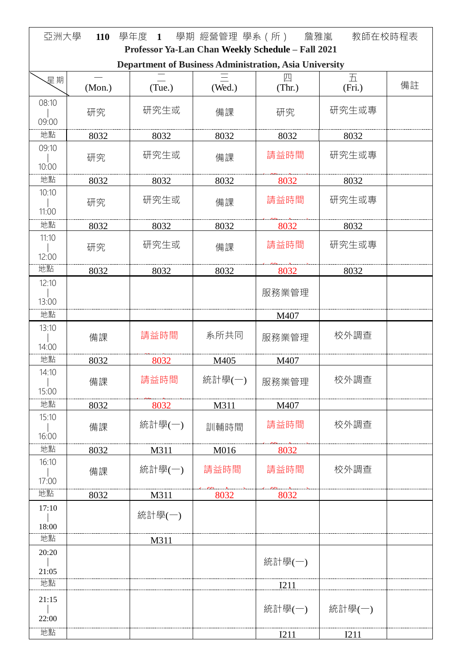| 亞洲大學<br>學年度 1 學期 經營管理 學系 (所) 詹雅嵐<br>教師在校時程表<br>110                                                          |        |        |        |             |        |    |
|-------------------------------------------------------------------------------------------------------------|--------|--------|--------|-------------|--------|----|
| Professor Ya-Lan Chan Weekly Schedule - Fall 2021<br>Department of Business Administration, Asia University |        |        |        |             |        |    |
| 星期                                                                                                          |        |        |        | 四           | 五      |    |
|                                                                                                             | (Mon.) | (Tue.) | (Wed.) | (Thr.)      | (Fri.) | 備註 |
| 08:10                                                                                                       | 研究     | 研究生或   | 備課     | 研究          | 研究生或專  |    |
| 09:00                                                                                                       |        |        |        |             |        |    |
| 地點                                                                                                          | 8032   | 8032   | 8032   | 8032        | 8032   |    |
| 09:10                                                                                                       | 研究     | 研究生或   | 備課     | 請益時間        | 研究生或專  |    |
| 10:00<br>地點                                                                                                 |        |        |        |             |        |    |
| 10:10                                                                                                       | 8032   | 8032   | 8032   | 8032        | 8032   |    |
| 11:00                                                                                                       | 研究     | 研究生或   | 備課     | 請益時間        | 研究生或專  |    |
| 地點                                                                                                          | 8032   | 8032   | 8032   | 8032        | 8032   |    |
| 11:10                                                                                                       | 研究     | 研究生或   | 備課     | 請益時間        | 研究生或專  |    |
| 12:00                                                                                                       |        |        |        |             |        |    |
| 地點                                                                                                          | 8032   | 8032   | 8032   | 8032        | 8032   |    |
| 12:10                                                                                                       |        |        |        | 服務業管理       |        |    |
| 13:00                                                                                                       |        |        |        |             |        |    |
| 地點<br>13:10                                                                                                 |        |        |        | M407        |        |    |
|                                                                                                             | 備課     | 請益時間   | 系所共同   | 服務業管理       | 校外調查   |    |
| 14:00<br>地點                                                                                                 | 8032   | 8032   | M405   | M407        |        |    |
| 14:10                                                                                                       |        |        |        |             |        |    |
| 15:00                                                                                                       | 備課     | 請益時間   | 統計學(一) | 服務業管理       | 校外調查   |    |
| 地點                                                                                                          | 8032   | 8032   | M311   | M407        |        |    |
| 15:10                                                                                                       | 備課     | 統計學(一) | 訓輔時間   | 請益時間        | 校外調查   |    |
| 16:00                                                                                                       |        |        |        |             |        |    |
| 地點                                                                                                          | 8032   | M311   | M016   | 8032        |        |    |
| 16:10                                                                                                       | 備課     | 統計學(一) | 請益時間   | 請益時間        | 校外調查   |    |
| 17:00                                                                                                       |        |        |        |             |        |    |
| 地點<br>17:10                                                                                                 | 8032   | M311   | 8032   | 8032        |        |    |
|                                                                                                             |        | 統計學(一) |        |             |        |    |
| 18:00<br>地點                                                                                                 |        |        |        |             |        |    |
| 20:20                                                                                                       |        | M311   |        |             |        |    |
| 21:05                                                                                                       |        |        |        | 統計學(一)      |        |    |
| 地點                                                                                                          |        |        |        | <b>I211</b> |        |    |
| 21:15                                                                                                       |        |        |        |             |        |    |
| 22:00                                                                                                       |        |        |        | 統計學(一)      | 統計學(一) |    |
| 地點                                                                                                          |        |        |        | I211        | I211   |    |